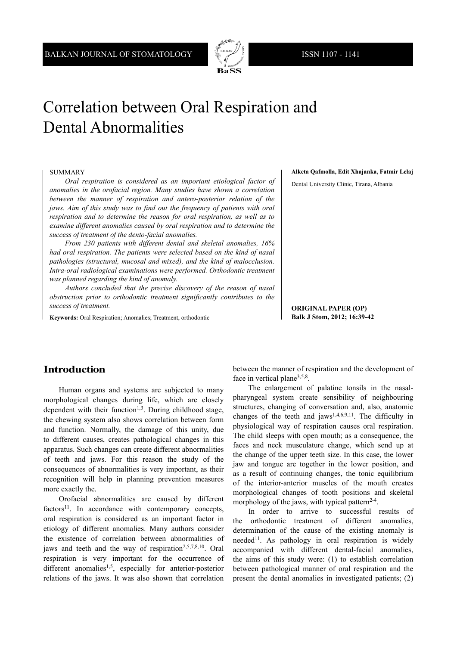

# Correlation between Oral Respiration and Dental Abnormalities

#### SUMMARY

*Oral respiration is considered as an important etiological factor of anomalies in the orofacial region. Many studies have shown a correlation between the manner of respiration and antero-posterior relation of the jaws. Aim of this study was to find out the frequency of patients with oral respiration and to determine the reason for oral respiration, as well as to examine different anomalies caused by oral respiration and to determine the success of treatment of the dento-facial anomalies.*

*From 230 patients with different dental and skeletal anomalies, 16% had oral respiration. The patients were selected based on the kind of nasal pathologies (structural, mucosal and mixed), and the kind of malocclusion. Intra-oral radiological examinations were performed. Orthodontic treatment was planned regarding the kind of anomaly.*

*Authors concluded that the precise discovery of the reason of nasal obstruction prior to orthodontic treatment significantly contributes to the success of treatment.*

**Keywords:** Oral Respiration; Anomalies; Treatment, orthodontic

**Alketa Qafmolla, Edit Xhajanka, Fatmir Lelaj** 

Dental University Clinic, Tirana, Albania

**ORIGINAL PAPER (OP) Balk J Stom, 2012; 16:39-42**

#### **Introduction**

Human organs and systems are subjected to many morphological changes during life, which are closely dependent with their function<sup> $1,3$ </sup>. During childhood stage, the chewing system also shows correlation between form and function. Normally, the damage of this unity, due to different causes, creates pathological changes in this apparatus. Such changes can create different abnormalities of teeth and jaws. For this reason the study of the consequences of abnormalities is very important, as their recognition will help in planning prevention measures more exactly the.

Orofacial abnormalities are caused by different  $factors<sup>11</sup>$ . In accordance with contemporary concepts, oral respiration is considered as an important factor in etiology of different anomalies. Many authors consider the existence of correlation between abnormalities of jaws and teeth and the way of respiration<sup>2,5,7,8,10</sup>. Oral respiration is very important for the occurrence of different anomalies<sup>1,5</sup>, especially for anterior-posterior relations of the jaws. It was also shown that correlation

between the manner of respiration and the development of face in vertical plane<sup>3,5,8</sup>.

The enlargement of palatine tonsils in the nasalpharyngeal system create sensibility of neighbouring structures, changing of conversation and, also, anatomic changes of the teeth and jaws<sup>1,4,6,9,11</sup>. The difficulty in physiological way of respiration causes oral respiration. The child sleeps with open mouth; as a consequence, the faces and neck musculature change, which send up at the change of the upper teeth size. In this case, the lower jaw and tongue are together in the lower position, and as a result of continuing changes, the tonic equilibrium of the interior-anterior muscles of the mouth creates morphological changes of tooth positions and skeletal morphology of the jaws, with typical pattern<sup>2-4</sup>.

In order to arrive to successful results of the orthodontic treatment of different anomalies, determination of the cause of the existing anomaly is  $needed<sup>11</sup>$ . As pathology in oral respiration is widely accompanied with different dental-facial anomalies, the aims of this study were: (1) to establish correlation between pathological manner of oral respiration and the present the dental anomalies in investigated patients; (2)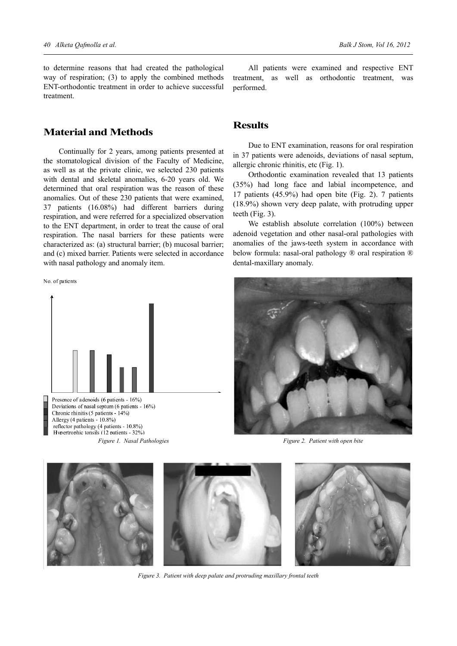to determine reasons that had created the pathological way of respiration; (3) to apply the combined methods ENT-orthodontic treatment in order to achieve successful treatment.

#### **Material and Methods**

Continually for 2 years, among patients presented at the stomatological division of the Faculty of Medicine, as well as at the private clinic, we selected 230 patients with dental and skeletal anomalies, 6-20 years old. We determined that oral respiration was the reason of these anomalies. Out of these 230 patients that were examined, 37 patients (16.08%) had different barriers during respiration, and were referred for a specialized observation to the ENT department, in order to treat the cause of oral respiration. The nasal barriers for these patients were characterized as: (a) structural barrier; (b) mucosal barrier; and (c) mixed barrier. Patients were selected in accordance with nasal pathology and anomaly item.

No. of patients



Presence of adenoids (6 patients - 16%) Deviations of nasal septum (6 patients - 16%) Chronic rhinitis (5 patients - 14%) Allergy (4 patients - 10.8%) reflector pathology (4 patients - 10.8%) Hypertrophic tonsils (12 patients - 32%)

All patients were examined and respective ENT treatment, as well as orthodontic treatment, was performed.

### **Results**

Due to ENT examination, reasons for oral respiration in 37 patients were adenoids, deviations of nasal septum, allergic chronic rhinitis, etc (Fig. 1).

Orthodontic examination revealed that 13 patients (35%) had long face and labial incompetence, and 17 patients (45.9%) had open bite (Fig. 2). 7 patients (18.9%) shown very deep palate, with protruding upper teeth (Fig. 3).

We establish absolute correlation (100%) between adenoid vegetation and other nasal-oral pathologies with anomalies of the jaws-teeth system in accordance with below formula: nasal-oral pathology ® oral respiration ® dental-maxillary anomaly.



*Figure 1. Nasal Pathologies Figure 2. Patient with open bite*



*Figure 3. Patient with deep palate and protruding maxillary frontal teeth*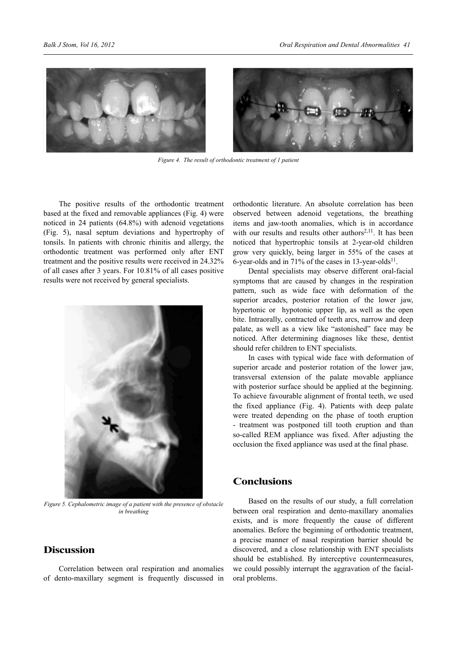

*Figure 4. The result of orthodontic treatment of 1 patient*

The positive results of the orthodontic treatment based at the fixed and removable appliances (Fig. 4) were noticed in 24 patients (64.8%) with adenoid vegetations (Fig. 5), nasal septum deviations and hypertrophy of tonsils. In patients with chronic rhinitis and allergy, the orthodontic treatment was performed only after ENT treatment and the positive results were received in 24.32% of all cases after 3 years. For 10.81% of all cases positive results were not received by general specialists.



*Figure 5. Cephalometric image of a patient with the presence of obstacle in breathing*

## **Discussion**

Correlation between oral respiration and anomalies of dento-maxillary segment is frequently discussed in orthodontic literature. An absolute correlation has been observed between adenoid vegetations, the breathing items and jaw-tooth anomalies, which is in accordance with our results and results other authors<sup>2,11</sup>. It has been noticed that hypertrophic tonsils at 2-year-old children grow very quickly, being larger in 55% of the cases at 6-year-olds and in 71% of the cases in  $13$ -year-olds<sup>11</sup>.

Dental specialists may observe different oral-facial symptoms that are caused by changes in the respiration pattern, such as wide face with deformation of the superior arcades, posterior rotation of the lower jaw, hypertonic or hypotonic upper lip, as well as the open bite. Intraorally, contracted of teeth arcs, narrow and deep palate, as well as a view like "astonished" face may be noticed. After determining diagnoses like these, dentist should refer children to ENT specialists.

In cases with typical wide face with deformation of superior arcade and posterior rotation of the lower jaw, transversal extension of the palate movable appliance with posterior surface should be applied at the beginning. To achieve favourable alignment of frontal teeth, we used the fixed appliance (Fig. 4). Patients with deep palate were treated depending on the phase of tooth eruption - treatment was postponed till tooth eruption and than so-called REM appliance was fixed. After adjusting the occlusion the fixed appliance was used at the final phase.

#### **Conclusions**

Based on the results of our study, a full correlation between oral respiration and dento-maxillary anomalies exists, and is more frequently the cause of different anomalies. Before the beginning of orthodontic treatment, a precise manner of nasal respiration barrier should be discovered, and a close relationship with ENT specialists should be established. By interceptive countermeasures, we could possibly interrupt the aggravation of the facialoral problems.